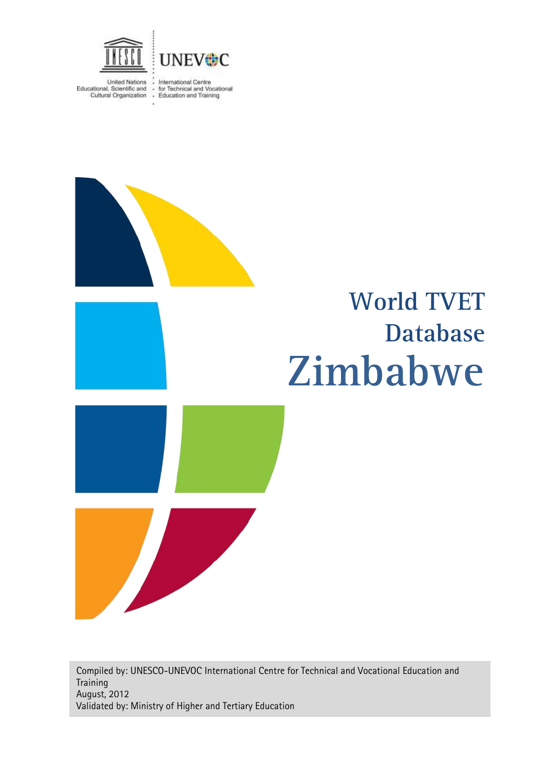

United Nations : International Centre<br>Educational, Scientific and : for Technical and Vocational<br>Cultural Organization : Education and Training

# **Zimbabwe World TVET Database**

Compiled by: UNESCO-UNEVOC International Centre for Technical and Vocational Education and **Training** August, 2012 Validated by: Ministry of Higher and Tertiary Education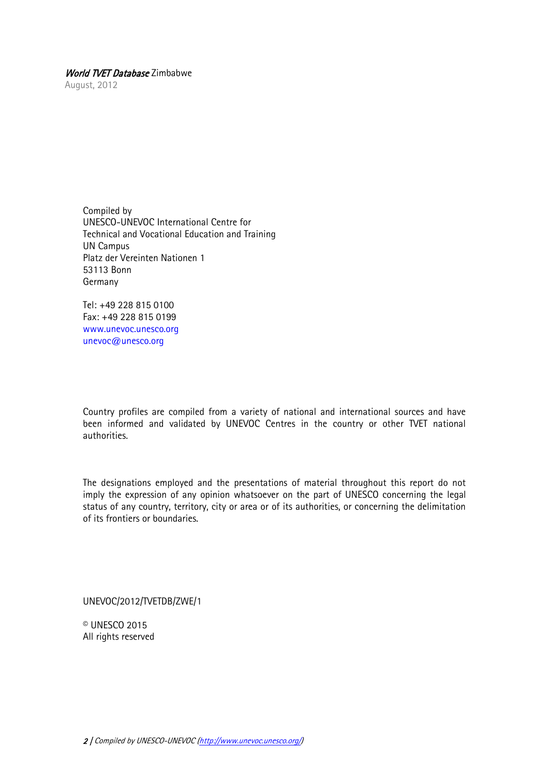August, 2012

Compiled by UNESCO-UNEVOC International Centre for Technical and Vocational Education and Training UN Campus Platz der Vereinten Nationen 1 53113 Bonn Germany

Tel: +49 228 815 0100 Fax: +49 228 815 0199 [www.unevoc.unesco.org](http://www.unevoc.unesco.org/) [unevoc@unesco.org](mailto:unevoc@unesco.org)

Country profiles are compiled from a variety of national and international sources and have been informed and validated by UNEVOC Centres in the country or other TVET national authorities.

The designations employed and the presentations of material throughout this report do not imply the expression of any opinion whatsoever on the part of UNESCO concerning the legal status of any country, territory, city or area or of its authorities, or concerning the delimitation of its frontiers or boundaries.

UNEVOC/2012/TVETDB/ZWE/1

© UNESCO 2015 All rights reserved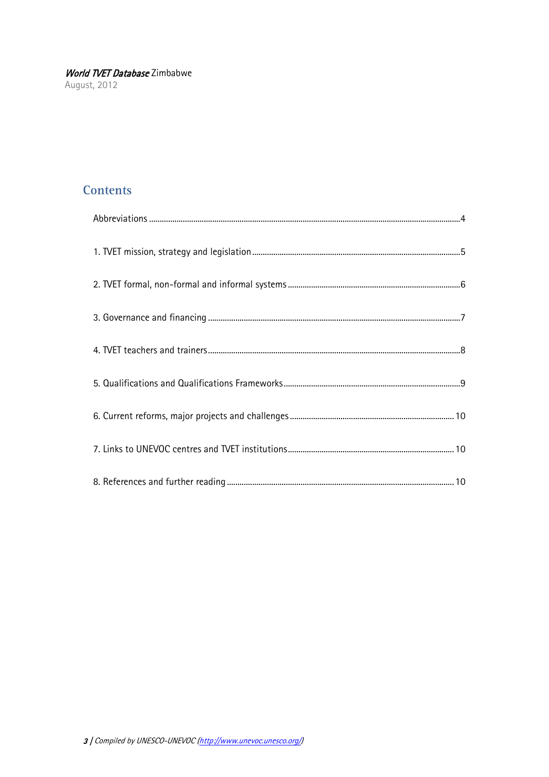## **Contents**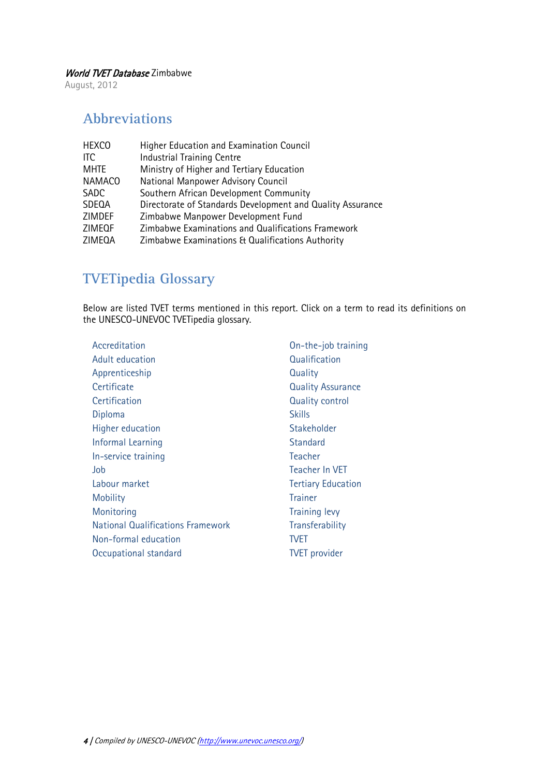August, 2012

## <span id="page-3-0"></span>**Abbreviations**

| <b>HEXCO</b>  | Higher Education and Examination Council                   |
|---------------|------------------------------------------------------------|
| <b>ITC</b>    | <b>Industrial Training Centre</b>                          |
| <b>MHTE</b>   | Ministry of Higher and Tertiary Education                  |
| <b>NAMACO</b> | National Manpower Advisory Council                         |
| <b>SADC</b>   | Southern African Development Community                     |
| <b>SDEQA</b>  | Directorate of Standards Development and Quality Assurance |
| ZIMDEF        | Zimbabwe Manpower Development Fund                         |
| <b>ZIMEQF</b> | Zimbabwe Examinations and Qualifications Framework         |
| ZIMEQA        | Zimbabwe Examinations & Qualifications Authority           |
|               |                                                            |

## **TVETipedia Glossary**

Below are listed TVET terms mentioned in this report. Click on a term to read its definitions on the UNESCO-UNEVOC TVETipedia glossary.

| Accreditation                            | On-the-job training       |
|------------------------------------------|---------------------------|
| Adult education                          | Qualification             |
| Apprenticeship                           | Quality                   |
| Certificate                              | <b>Quality Assurance</b>  |
| Certification                            | <b>Quality control</b>    |
| Diploma                                  | <b>Skills</b>             |
| Higher education                         | Stakeholder               |
| Informal Learning                        | <b>Standard</b>           |
| In-service training                      | Teacher                   |
| Job                                      | Teacher In VET            |
| Labour market                            | <b>Tertiary Education</b> |
| <b>Mobility</b>                          | <b>Trainer</b>            |
| Monitoring                               | <b>Training levy</b>      |
| <b>National Qualifications Framework</b> | Transferability           |
| Non-formal education                     | TVET                      |
| Occupational standard                    | <b>TVET</b> provider      |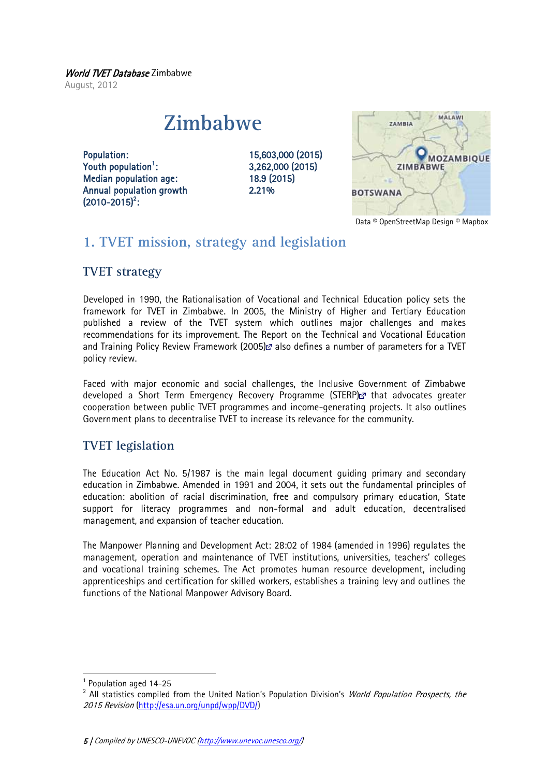World TVET Database Zimbabwe August, 2012

## **Zimbabwe**

Population: 15,603,000 (2015) Youth population<sup>1</sup>: Median population age: 18.9 (2015) Annual population growth 2.21%  $(2010 - 2015)^2$ :

: 3,262,000 (2015)



Data © OpenStreetMap Design © Mapbox

## <span id="page-4-0"></span>**1. TVET mission, strategy and legislation**

## **TVET strategy**

Developed in 1990, the Rationalisation of Vocational and Technical Education policy sets the framework for TVET in Zimbabwe. In 2005, the Ministry of Higher and Tertiary Education published a review of the TVET system which outlines major challenges and makes recommendations for its improvement. The Report on the Technical and Vocational Education and Training Policy Review Framework (2005) also defines a number of parameters for a TVET policy review.

Faced with major economic and social challenges, the Inclusive Government of Zimbabwe developed a Short Term Emergency Recovery Programme (STERP) a that advocates greater cooperation between public TVET programmes and income-generating projects. It also outlines Government plans to decentralise TVET to increase its relevance for the community.

## **TVET legislation**

The Education Act No. 5/1987 is the main legal document guiding primary and secondary education in Zimbabwe. Amended in 1991 and 2004, it sets out the fundamental principles of education: abolition of racial discrimination, free and compulsory primary education, State support for literacy programmes and non-formal and adult education, decentralised management, and expansion of teacher education.

The Manpower Planning and Development Act: 28:02 of 1984 (amended in 1996) regulates the management, operation and maintenance of TVET institutions, universities, teachers' colleges and vocational training schemes. The Act promotes human resource development, including apprenticeships and certification for skilled workers, establishes a training levy and outlines the functions of the National Manpower Advisory Board.

1

<sup>&</sup>lt;sup>1</sup> Population aged 14-25

<sup>&</sup>lt;sup>2</sup> All statistics compiled from the United Nation's Population Division's *World Population Prospects, the* 2015 Revision [\(http://esa.un.org/unpd/wpp/DVD/\)](http://esa.un.org/unpd/wpp/DVD/)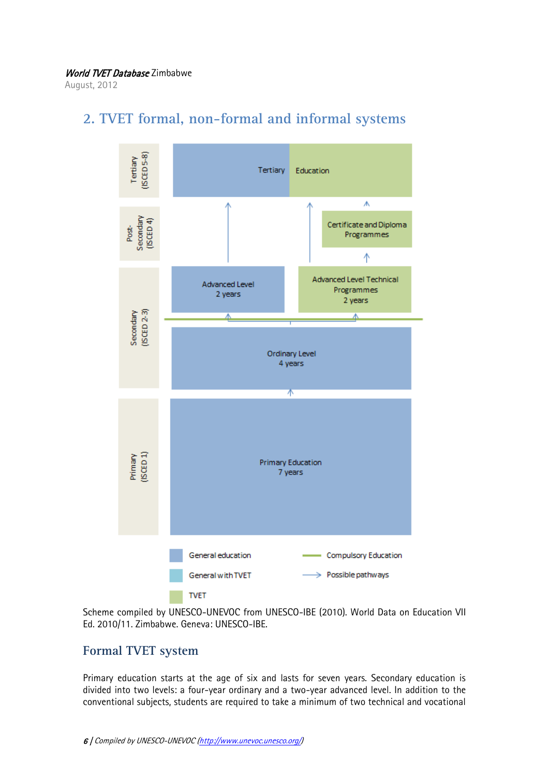August, 2012



## <span id="page-5-0"></span>**2. TVET formal, non-formal and informal systems**

Scheme compiled by UNESCO-UNEVOC from UNESCO-IBE (2010). World Data on Education VII Ed. 2010/11. Zimbabwe. Geneva: UNESCO-IBE.

#### **Formal TVET system**

Primary education starts at the age of six and lasts for seven years. Secondary education is divided into two levels: a four-year ordinary and a two-year advanced level. In addition to the conventional subjects, students are required to take a minimum of two technical and vocational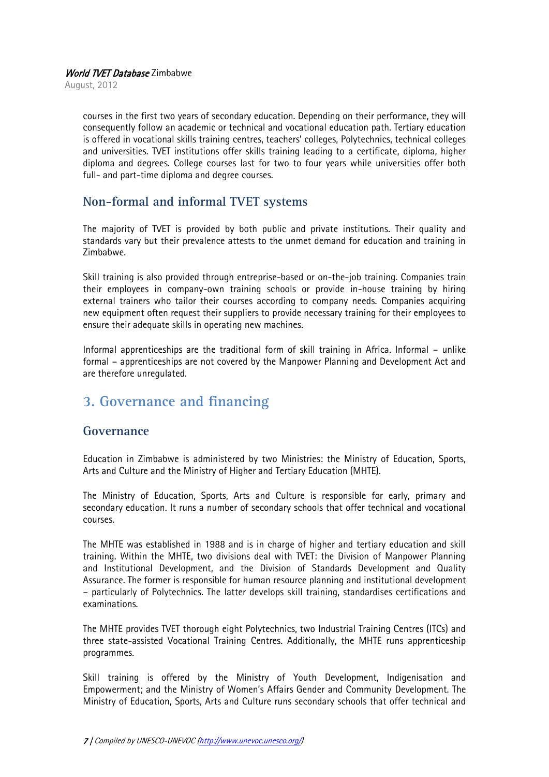August, 2012

courses in the first two years of secondary education. Depending on their performance, they will consequently follow an academic or technical and vocational education path. Tertiary education is offered in vocational skills training centres, teachers' colleges, Polytechnics, technical colleges and universities. TVET institutions offer skills training leading to a certificate, diploma, higher diploma and degrees. College courses last for two to four years while universities offer both full- and part-time diploma and degree courses.

## **Non-formal and informal TVET systems**

The majority of TVET is provided by both public and private institutions. Their quality and standards vary but their prevalence attests to the unmet demand for education and training in Zimbabwe.

Skill training is also provided through entreprise-based or on-the-job training. Companies train their employees in company-own training schools or provide in-house training by hiring external trainers who tailor their courses according to company needs. Companies acquiring new equipment often request their suppliers to provide necessary training for their employees to ensure their adequate skills in operating new machines.

Informal apprenticeships are the traditional form of skill training in Africa. Informal – unlike formal – apprenticeships are not covered by the Manpower Planning and Development Act and are therefore unregulated.

## <span id="page-6-0"></span>**3. Governance and financing**

#### **Governance**

Education in Zimbabwe is administered by two Ministries: the Ministry of Education, Sports, Arts and Culture and the Ministry of Higher and Tertiary Education (MHTE).

The Ministry of Education, Sports, Arts and Culture is responsible for early, primary and secondary education. It runs a number of secondary schools that offer technical and vocational courses.

The MHTE was established in 1988 and is in charge of higher and tertiary education and skill training. Within the MHTE, two divisions deal with TVET: the Division of Manpower Planning and Institutional Development, and the Division of Standards Development and Quality Assurance. The former is responsible for human resource planning and institutional development – particularly of Polytechnics. The latter develops skill training, standardises certifications and examinations.

The MHTE provides TVET thorough eight Polytechnics, two Industrial Training Centres (ITCs) and three state-assisted Vocational Training Centres. Additionally, the MHTE runs apprenticeship programmes.

Skill training is offered by the Ministry of Youth Development, Indigenisation and Empowerment; and the Ministry of Women's Affairs Gender and Community Development. The Ministry of Education, Sports, Arts and Culture runs secondary schools that offer technical and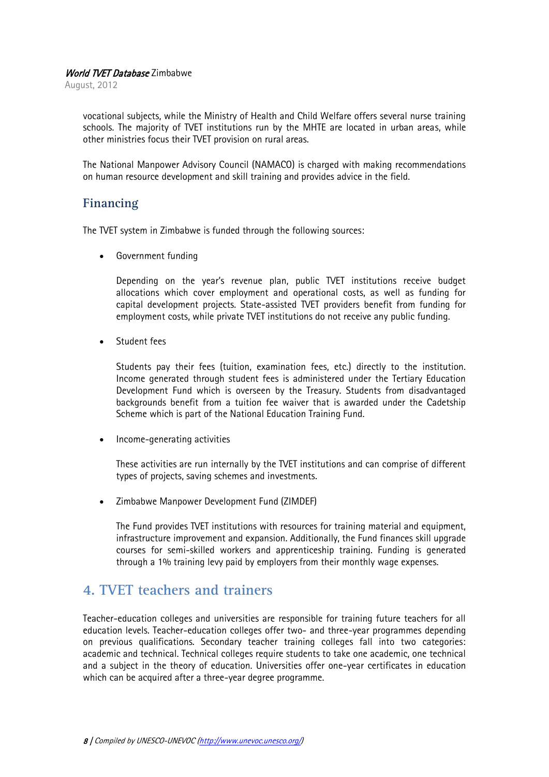August, 2012

vocational subjects, while the Ministry of Health and Child Welfare offers several nurse training schools. The majority of TVET institutions run by the MHTE are located in urban areas, while other ministries focus their TVET provision on rural areas.

The National Manpower Advisory Council (NAMACO) is charged with making recommendations on human resource development and skill training and provides advice in the field.

#### **Financing**

The TVET system in Zimbabwe is funded through the following sources:

Government funding

Depending on the year's revenue plan, public TVET institutions receive budget allocations which cover employment and operational costs, as well as funding for capital development projects. State-assisted TVET providers benefit from funding for employment costs, while private TVET institutions do not receive any public funding.

Student fees

Students pay their fees (tuition, examination fees, etc.) directly to the institution. Income generated through student fees is administered under the Tertiary Education Development Fund which is overseen by the Treasury. Students from disadvantaged backgrounds benefit from a tuition fee waiver that is awarded under the Cadetship Scheme which is part of the National Education Training Fund.

Income-generating activities

These activities are run internally by the TVET institutions and can comprise of different types of projects, saving schemes and investments.

Zimbabwe Manpower Development Fund (ZIMDEF)

The Fund provides TVET institutions with resources for training material and equipment, infrastructure improvement and expansion. Additionally, the Fund finances skill upgrade courses for semi-skilled workers and apprenticeship training. Funding is generated through a 1% training levy paid by employers from their monthly wage expenses.

## <span id="page-7-0"></span>**4. TVET teachers and trainers**

Teacher-education colleges and universities are responsible for training future teachers for all education levels. Teacher-education colleges offer two- and three-year programmes depending on previous qualifications. Secondary teacher training colleges fall into two categories: academic and technical. Technical colleges require students to take one academic, one technical and a subject in the theory of education. Universities offer one-year certificates in education which can be acquired after a three-year degree programme.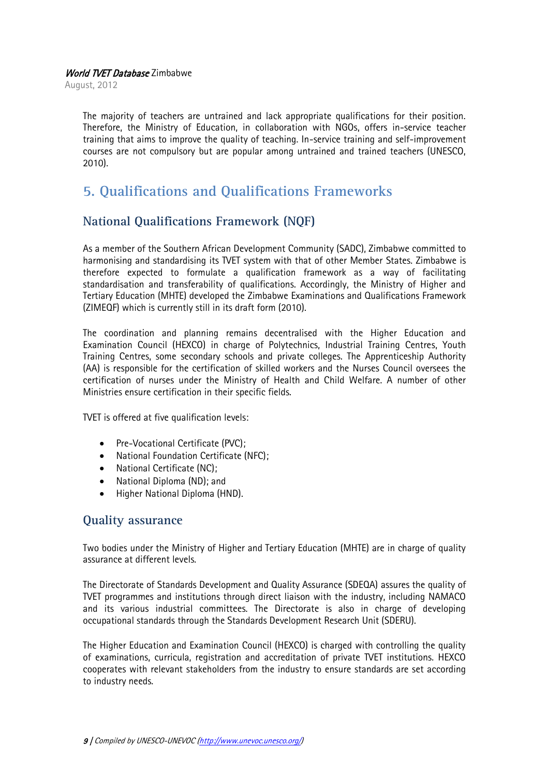August, 2012

The majority of teachers are untrained and lack appropriate qualifications for their position. Therefore, the Ministry of Education, in collaboration with NGOs, offers in-service teacher training that aims to improve the quality of teaching. In-service training and self-improvement courses are not compulsory but are popular among untrained and trained teachers (UNESCO, 2010).

## <span id="page-8-0"></span>**5. Qualifications and Qualifications Frameworks**

## **National Qualifications Framework (NQF)**

As a member of the Southern African Development Community (SADC), Zimbabwe committed to harmonising and standardising its TVET system with that of other Member States. Zimbabwe is therefore expected to formulate a qualification framework as a way of facilitating standardisation and transferability of qualifications. Accordingly, the Ministry of Higher and Tertiary Education (MHTE) developed the Zimbabwe Examinations and Qualifications Framework (ZIMEQF) which is currently still in its draft form (2010).

The coordination and planning remains decentralised with the Higher Education and Examination Council (HEXCO) in charge of Polytechnics, Industrial Training Centres, Youth Training Centres, some secondary schools and private colleges. The Apprenticeship Authority (AA) is responsible for the certification of skilled workers and the Nurses Council oversees the certification of nurses under the Ministry of Health and Child Welfare. A number of other Ministries ensure certification in their specific fields.

TVET is offered at five qualification levels:

- Pre-Vocational Certificate (PVC);
- National Foundation Certificate (NFC);
- National Certificate (NC);
- National Diploma (ND); and
- Higher National Diploma (HND).

#### **Quality assurance**

Two bodies under the Ministry of Higher and Tertiary Education (MHTE) are in charge of quality assurance at different levels.

The Directorate of Standards Development and Quality Assurance (SDEQA) assures the quality of TVET programmes and institutions through direct liaison with the industry, including NAMACO and its various industrial committees. The Directorate is also in charge of developing occupational standards through the Standards Development Research Unit (SDERU).

The Higher Education and Examination Council (HEXCO) is charged with controlling the quality of examinations, curricula, registration and accreditation of private TVET institutions. HEXCO cooperates with relevant stakeholders from the industry to ensure standards are set according to industry needs.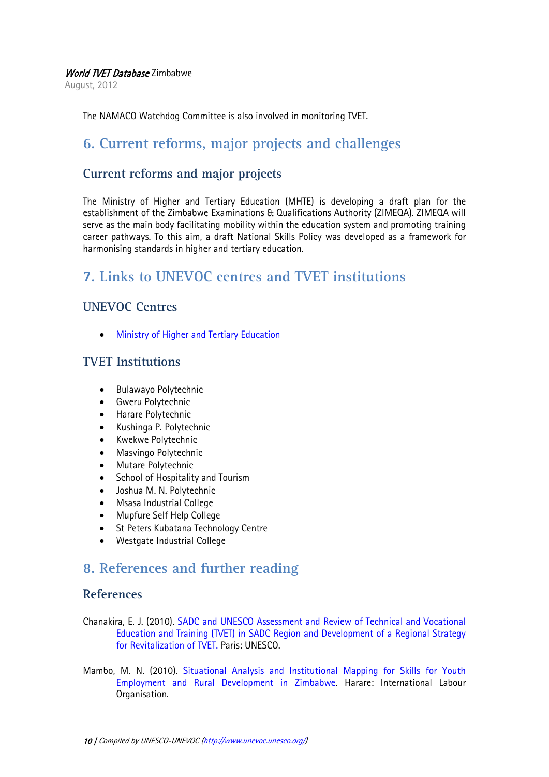August, 2012

<span id="page-9-0"></span>The NAMACO Watchdog Committee is also involved in monitoring TVET.

## **6. Current reforms, major projects and challenges**

#### **Current reforms and major projects**

The Ministry of Higher and Tertiary Education (MHTE) is developing a draft plan for the establishment of the Zimbabwe Examinations & Qualifications Authority (ZIMEQA). ZIMEQA will serve as the main body facilitating mobility within the education system and promoting training career pathways. To this aim, a draft National Skills Policy was developed as a framework for harmonising standards in higher and tertiary education.

## <span id="page-9-1"></span>**7. Links to UNEVOC centres and TVET institutions**

## **UNEVOC Centres**

[Ministry of Higher and](http://www.unevoc.unesco.org/go.php?q=UNEVOC+Network+-+Centre&id=2551) Tertiary Education

## **TVET Institutions**

- Bulawayo Polytechnic
- **•** Gweru Polytechnic
- Harare Polytechnic
- Kushinga P. Polytechnic
- Kwekwe Polytechnic
- Masvingo Polytechnic
- Mutare Polytechnic
- School of Hospitality and Tourism
- Joshua M. N. Polytechnic
- Msasa Industrial College
- Mupfure Self Help College
- St Peters Kubatana Technology Centre
- Westgate Industrial College

## <span id="page-9-2"></span>**8. References and further reading**

#### **References**

- Chanakira, E. J. (2010). SADC and [UNESCO Assessment and Review of Technical and Vocational](http://unesdoc.unesco.org/images/0022/002256/225632e.pdf)  [Education and Training \(TVET\) in SADC Region and Development of a Regional Strategy](http://unesdoc.unesco.org/images/0022/002256/225632e.pdf)  [for Revitalization of TVET.](http://unesdoc.unesco.org/images/0022/002256/225632e.pdf) Paris: UNESCO.
- Mambo, M. N. (2010). [Situational Analysis and Institutional Mapping for Skills for Youth](http://www.africayouthskills.org/images/pdf/lrg/Situational_Analysis_and_Institutional_Mapping_Report.pdf)  [Employment and Rural Development in Zimbabwe.](http://www.africayouthskills.org/images/pdf/lrg/Situational_Analysis_and_Institutional_Mapping_Report.pdf) Harare: International Labour Organisation.